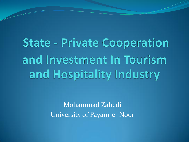**State - Private Cooperation** and Investment In Tourism and Hospitality Industry

> Mohammad Zahedi University of Payam-e- Noor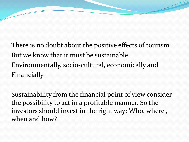There is no doubt about the positive effects of tourism But we know that it must be sustainable: Environmentally, socio-cultural, economically and Financially

Sustainability from the financial point of view consider the possibility to act in a profitable manner. So the investors should invest in the right way: Who, where , when and how?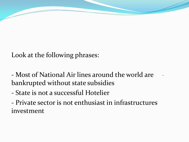Look at the following phrases:

- Most of National Air lines around the world are bankrupted without state subsidies

- State is not a successful Hotelier

- Private sector is not enthusiast in infrastructures investment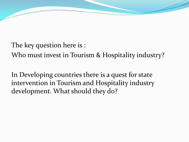The key question here is :

Who must invest in Tourism & Hospitality industry?

In Developing countries there is a quest for state intervention in Tourism and Hospitality industry development. What should they do?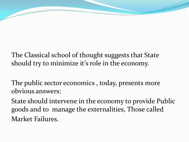The Classical school of thought suggests that State should try to minimize it's role in the economy.

The public sector economics , today, presents more obvious answers:

State should intervene in the economy to provide Public goods and to manage the externalities, Those called Market Failures.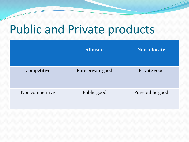## Public and Private products

|                 | <b>Allocate</b>   | Non allocate     |
|-----------------|-------------------|------------------|
| Competitive     | Pure private good | Private good     |
| Non competitive | Public good       | Pure public good |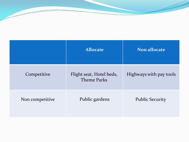|                 | <b>Allocate</b>                                | Non allocate            |
|-----------------|------------------------------------------------|-------------------------|
| Competitive     | Flight seat, Hotel beds,<br><b>Theme Parks</b> | Highways with pay tools |
| Non competitive | Public gardens                                 | <b>Public Security</b>  |

<u>a shekara ta shekara ta shekara ta shekara ta shekara ta shekara ta shekara ta shekara ta shekara ta shekara t</u>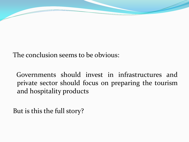The conclusion seems to be obvious:

 Governments should invest in infrastructures and private sector should focus on preparing the tourism and hospitality products

But is this the full story?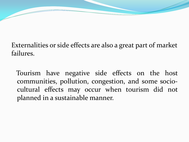## Externalities or side effects are also a great part of market failures.

 Tourism have negative side effects on the host communities, pollution, congestion, and some sociocultural effects may occur when tourism did not planned in a sustainable manner.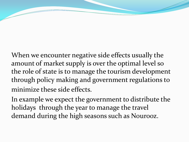When we encounter negative side effects usually the amount of market supply is over the optimal level so the role of state is to manage the tourism development through policy making and government regulations to minimize these side effects.

In example we expect the government to distribute the holidays through the year to manage the travel demand during the high seasons such as Nourooz.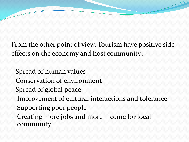From the other point of view, Tourism have positive side effects on the economy and host community:

- Spread of human values
- Conservation of environment
- Spread of global peace
- Improvement of cultural interactions and tolerance
- Supporting poor people
- Creating more jobs and more income for local community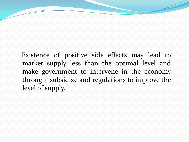Existence of positive side effects may lead to market supply less than the optimal level and make government to intervene in the economy through subsidize and regulations to improve the level of supply.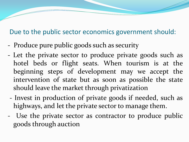## Due to the public sector economics government should:

- Produce pure public goods such as security
- Let the private sector to produce private goods such as hotel beds or flight seats. When tourism is at the beginning steps of development may we accept the intervention of state but as soon as possible the state should leave the market through privatization
- Invest in production of private goods if needed, such as highways, and let the private sector to manage them.
- Use the private sector as contractor to produce public goods through auction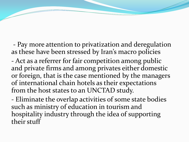- Pay more attention to privatization and deregulation as these have been stressed by Iran's macro policies - Act as a referrer for fair competition among public and private firms and among privates either domestic or foreign, that is the case mentioned by the managers of international chain hotels as their expectations from the host states to an UNCTAD study.

- Eliminate the overlap activities of some state bodies such as ministry of education in tourism and hospitality industry through the idea of supporting their stuff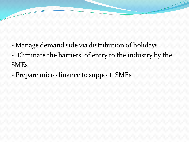- Manage demand side via distribution of holidays
- Eliminate the barriers of entry to the industry by the SMEs
- Prepare micro finance to support SMEs